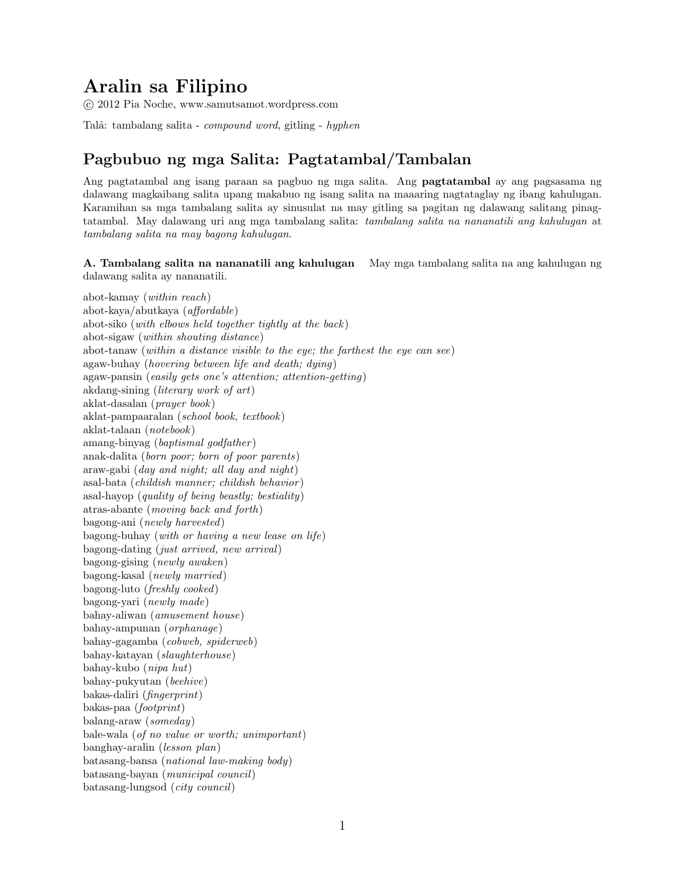## Aralin sa Filipino

c 2012 Pia Noche, www.samutsamot.wordpress.com

Talâ: tambalang salita - *compound word*, gitling - *hyphen* 

## Pagbubuo ng mga Salita: Pagtatambal/Tambalan

Ang pagtatambal ang isang paraan sa pagbuo ng mga salita. Ang pagtatambal ay ang pagsasama ng dalawang magkaibang salita upang makabuo ng isang salita na maaaring nagtataglay ng ibang kahulugan. Karamihan sa mga tambalang salita ay sinusulat na may gitling sa pagitan ng dalawang salitang pinagtatambal. May dalawang uri ang mga tambalang salita: tambalang salita na nananatili ang kahulugan at tambalang salita na may bagong kahulugan.

A. Tambalang salita na nananatili ang kahulugan May mga tambalang salita na ang kahulugan ng dalawang salita ay nananatili.

abot-kamay (within reach) abot-kaya/abutkaya (affordable) abot-siko (with elbows held together tightly at the back ) abot-sigaw (within shouting distance) abot-tanaw (within a distance visible to the eye; the farthest the eye can see) agaw-buhay (hovering between life and death; dying) agaw-pansin (easily gets one's attention; attention-getting) akdang-sining (literary work of art) aklat-dasalan (prayer book) aklat-pampaaralan (school book, textbook) aklat-talaan (notebook) amang-binyag (baptismal godfather ) anak-dalita (born poor; born of poor parents) araw-gabi (day and night; all day and night) asal-bata (childish manner; childish behavior ) asal-hayop (quality of being beastly; bestiality) atras-abante (moving back and forth) bagong-ani (newly harvested) bagong-buhay (with or having a new lease on life) bagong-dating (just arrived, new arrival) bagong-gising (newly awaken) bagong-kasal (newly married) bagong-luto (freshly cooked) bagong-yari (newly made) bahay-aliwan (amusement house) bahay-ampunan (orphanage) bahay-gagamba (cobweb, spiderweb) bahay-katayan (slaughterhouse) bahay-kubo (nipa hut) bahay-pukyutan (beehive) bakas-daliri (fingerprint) bakas-paa (footprint) balang-araw (someday) bale-wala (of no value or worth; unimportant) banghay-aralin (lesson plan) batasang-bansa (national law-making body) batasang-bayan (municipal council) batasang-lungsod (city council)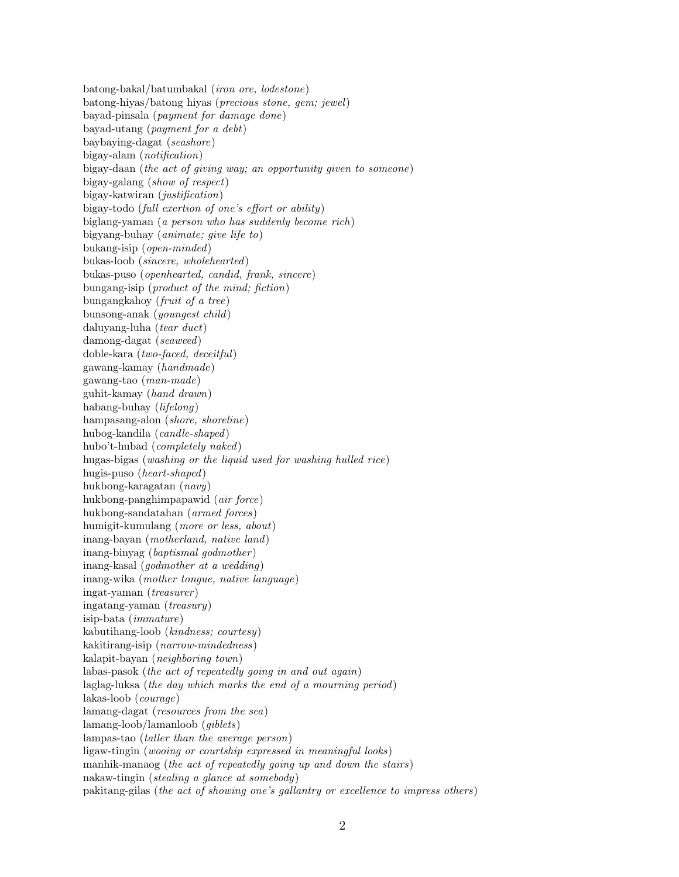batong-bakal/batumbakal (iron ore, lodestone) batong-hiyas/batong hiyas (precious stone, gem; jewel) bayad-pinsala (payment for damage done) bayad-utang (payment for a debt) baybaying-dagat (seashore) bigay-alam (notification) bigay-daan (the act of giving way; an opportunity given to someone) bigay-galang (show of respect) bigay-katwiran (justification) bigay-todo (full exertion of one's effort or ability) biglang-yaman (a person who has suddenly become rich) bigyang-buhay (animate; give life to) bukang-isip (open-minded) bukas-loob (sincere, wholehearted) bukas-puso (openhearted, candid, frank, sincere) bungang-isip (product of the mind; fiction) bungangkahoy (fruit of a tree) bunsong-anak (youngest child) daluyang-luha (tear duct) damong-dagat (seaweed) doble-kara (two-faced, deceitful) gawang-kamay (handmade) gawang-tao (man-made) guhit-kamay (hand drawn) habang-buhay (lifelong) hampasang-alon (shore, shoreline) hubog-kandila (candle-shaped) hubo't-hubad (completely naked) hugas-bigas (washing or the liquid used for washing hulled rice) hugis-puso (heart-shaped) hukbong-karagatan (navy) hukbong-panghimpapawid (air force) hukbong-sandatahan (armed forces) humigit-kumulang (more or less, about) inang-bayan (motherland, native land) inang-binyag (baptismal godmother ) inang-kasal (godmother at a wedding) inang-wika (mother tongue, native language) ingat-yaman (treasurer ) ingatang-yaman (treasury) isip-bata (immature) kabutihang-loob (kindness; courtesy) kakitirang-isip (narrow-mindedness) kalapit-bayan (neighboring town) labas-pasok (the act of repeatedly going in and out again) laglag-luksa (the day which marks the end of a mourning period) lakas-loob (courage) lamang-dagat (resources from the sea) lamang-loob/lamanloob (giblets) lampas-tao (taller than the average person) ligaw-tingin (wooing or courtship expressed in meaningful looks) manhik-manaog (the act of repeatedly going up and down the stairs) nakaw-tingin (stealing a glance at somebody) pakitang-gilas (the act of showing one's gallantry or excellence to impress others)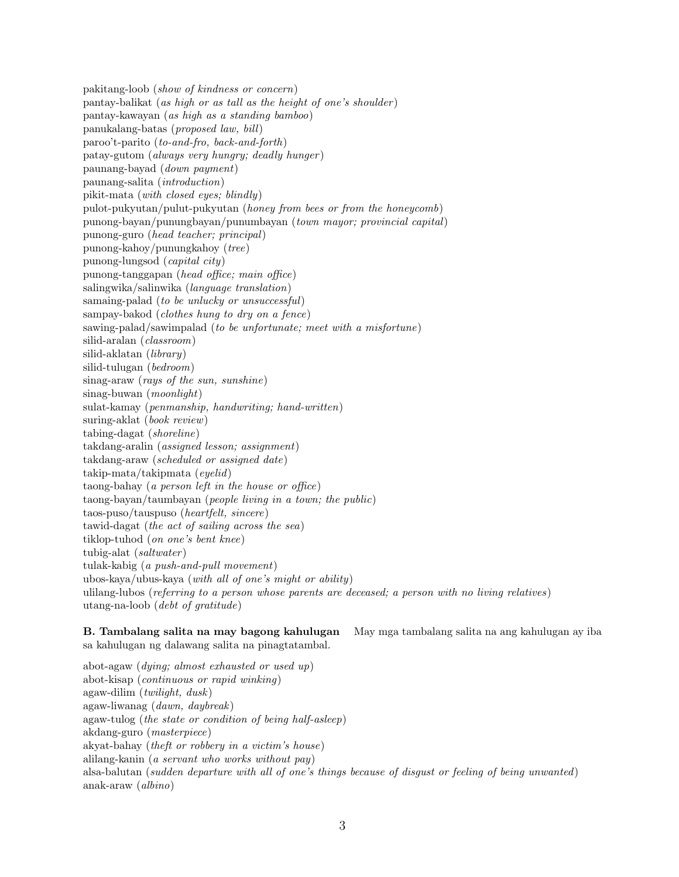pakitang-loob (show of kindness or concern) pantay-balikat (as high or as tall as the height of one's shoulder ) pantay-kawayan (as high as a standing bamboo) panukalang-batas (proposed law, bill) paroo't-parito (to-and-fro, back-and-forth) patay-gutom (always very hungry; deadly hunger ) paunang-bayad (down payment) paunang-salita (introduction) pikit-mata (with closed eyes; blindly) pulot-pukyutan/pulut-pukyutan (honey from bees or from the honeycomb) punong-bayan/punungbayan/punumbayan (town mayor; provincial capital) punong-guro (head teacher; principal) punong-kahoy/punungkahoy (tree) punong-lungsod (capital city) punong-tanggapan (head office; main office) salingwika/salinwika (language translation) samaing-palad (to be unlucky or unsuccessful) sampay-bakod (clothes hung to dry on a fence) sawing-palad/sawimpalad (to be unfortunate; meet with a misfortune) silid-aralan (classroom) silid-aklatan (library) silid-tulugan (bedroom) sinag-araw (rays of the sun, sunshine) sinag-buwan (moonlight) sulat-kamay (penmanship, handwriting; hand-written) suring-aklat (book review) tabing-dagat (shoreline) takdang-aralin (assigned lesson; assignment) takdang-araw (scheduled or assigned date) takip-mata/takipmata (eyelid) taong-bahay (a person left in the house or office) taong-bayan/taumbayan (people living in a town; the public) taos-puso/tauspuso (heartfelt, sincere) tawid-dagat (the act of sailing across the sea) tiklop-tuhod (on one's bent knee) tubig-alat (saltwater ) tulak-kabig (a push-and-pull movement) ubos-kaya/ubus-kaya (with all of one's might or ability) ulilang-lubos (referring to a person whose parents are deceased; a person with no living relatives) utang-na-loob (debt of gratitude)

sa kahulugan ng dalawang salita na pinagtatambal.

B. Tambalang salita na may bagong kahulugan May mga tambalang salita na ang kahulugan ay iba

abot-agaw (dying; almost exhausted or used up) abot-kisap (continuous or rapid winking) agaw-dilim (twilight, dusk) agaw-liwanag (dawn, daybreak) agaw-tulog (the state or condition of being half-asleep) akdang-guro (masterpiece) akyat-bahay (theft or robbery in a victim's house) alilang-kanin (a servant who works without pay) alsa-balutan (sudden departure with all of one's things because of disgust or feeling of being unwanted) anak-araw (albino)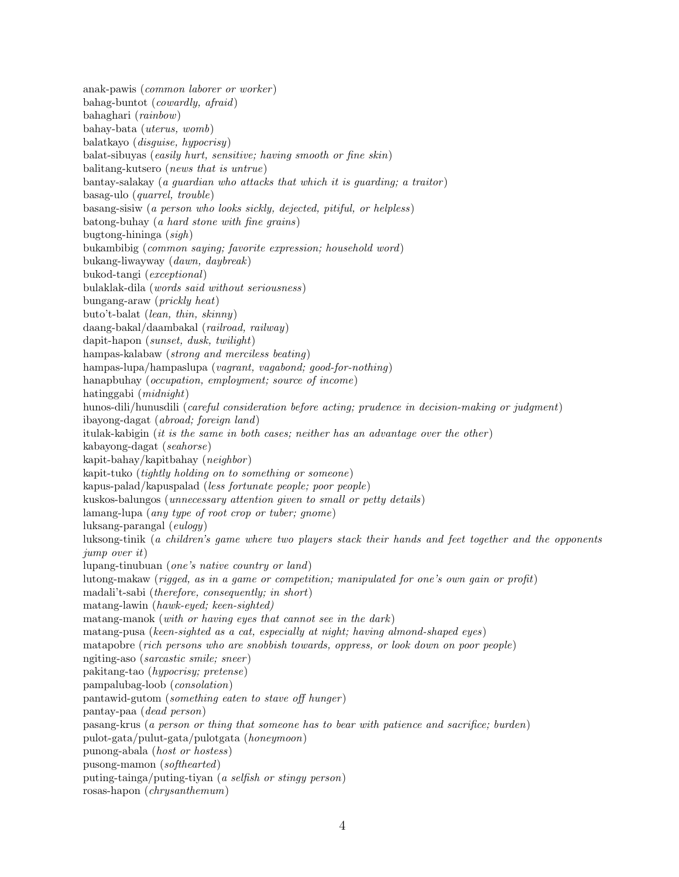anak-pawis (common laborer or worker ) bahag-buntot (cowardly, afraid) bahaghari (rainbow) bahay-bata (uterus, womb) balatkayo (disguise, hypocrisy) balat-sibuyas (easily hurt, sensitive; having smooth or fine skin) balitang-kutsero (news that is untrue) bantay-salakay (a guardian who attacks that which it is guarding; a traitor ) basag-ulo (quarrel, trouble) basang-sisiw (a person who looks sickly, dejected, pitiful, or helpless) batong-buhay (a hard stone with fine grains) bugtong-hininga (sigh) bukambibig (common saying; favorite expression; household word) bukang-liwayway (dawn, daybreak) bukod-tangi (exceptional) bulaklak-dila (words said without seriousness) bungang-araw (prickly heat) buto't-balat (lean, thin, skinny) daang-bakal/daambakal (railroad, railway) dapit-hapon (sunset, dusk, twilight) hampas-kalabaw (strong and merciless beating) hampas-lupa/hampaslupa (vagrant, vagabond; good-for-nothing) hanapbuhay (*occupation, employment; source of income*) hatinggabi (midnight) hunos-dili/hunusdili (careful consideration before acting; prudence in decision-making or judgment) ibayong-dagat (abroad; foreign land) itulak-kabigin (it is the same in both cases; neither has an advantage over the other) kabayong-dagat (seahorse) kapit-bahay/kapitbahay (neighbor ) kapit-tuko (tightly holding on to something or someone) kapus-palad/kapuspalad (less fortunate people; poor people) kuskos-balungos (unnecessary attention given to small or petty details) lamang-lupa (any type of root crop or tuber; gnome) luksang-parangal (eulogy) luksong-tinik (a children's game where two players stack their hands and feet together and the opponents jump over it) lupang-tinubuan (one's native country or land) lutong-makaw (rigged, as in a game or competition; manipulated for one's own gain or profit) madali't-sabi (therefore, consequently; in short) matang-lawin (hawk-eyed; keen-sighted) matang-manok (with or having eyes that cannot see in the dark) matang-pusa (keen-sighted as a cat, especially at night; having almond-shaped eyes) matapobre (rich persons who are snobbish towards, oppress, or look down on poor people) ngiting-aso (sarcastic smile; sneer ) pakitang-tao (hypocrisy; pretense) pampalubag-loob (consolation) pantawid-gutom (something eaten to stave off hunger ) pantay-paa (dead person) pasang-krus (a person or thing that someone has to bear with patience and sacrifice; burden) pulot-gata/pulut-gata/pulotgata (honeymoon) punong-abala (host or hostess) pusong-mamon (softhearted) puting-tainga/puting-tiyan (a selfish or stingy person) rosas-hapon (chrysanthemum)